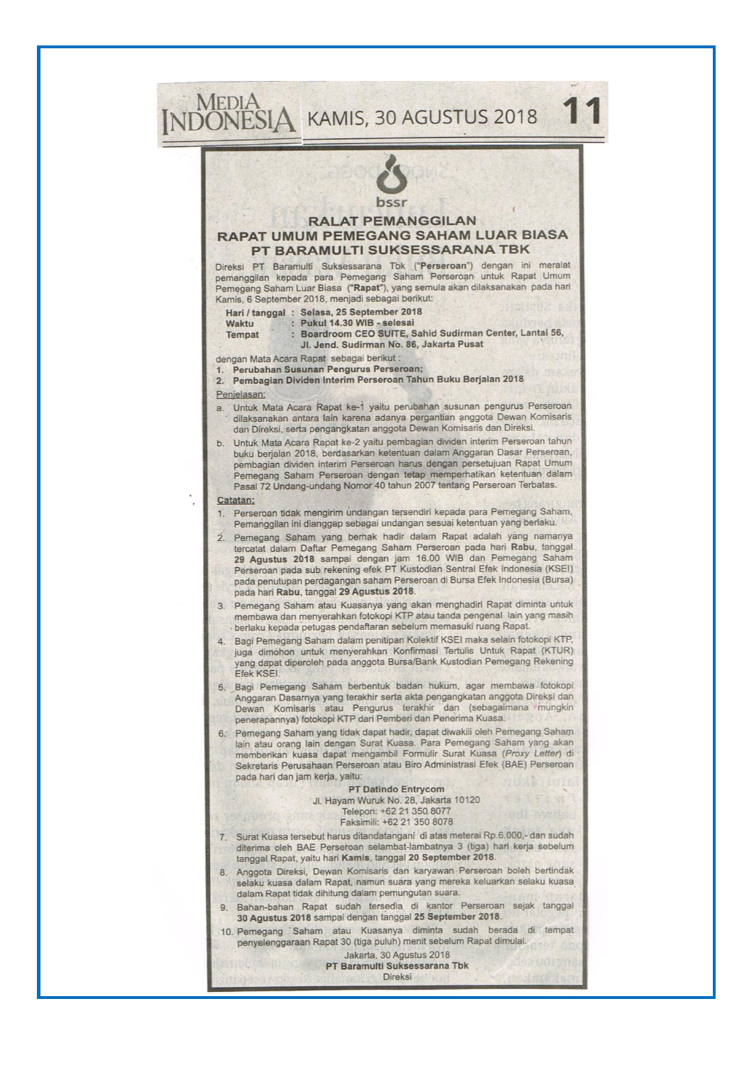# MEDIA<br>NDONESIA KAMIS, 30 AGUSTUS 2018 **RALAT PEMANGGILAN** RAPAT UMUM PEMEGANG SAHAM LUAR BIASA PT BARAMULTI SUKSESSARANA TBK Direksi PT Baramulti Suksessarana Tbk ("Perseroan") dengan ini meralat pemanggilan kepada para Pemegang Saham Perseroan untuk Rapat Umum Pemegang Saham Luar Biasa ("Rapat"), yang semula akan dilaksanakan pada hari Kamis, 6 September 2018, menjadi sebagai berikut: Hari / tanggal : Selasa, 25 September 2018 Waktu k. Pukul 14.30 WIB - selesai : Boardroom CEO SUITE, Sahid Sudirman Center, Lantai 56, **Tempat** Jl. Jend. Sudirman No. 86, Jakarta Pusat dengan Mata Acara Rapat sebagai berikut: Perubahan Susunan Pengurus Perseroan; 2. Pembagian Dividen Interim Perseroan Tahun Buku Berjalan 2018 Penjelasan: Untuk Mata Acara Rapat ke-1 yaitu perubahan susunan pengurus Perseroan dilaksanakan antara lain karena adanya pergantian anggota Dewan Komisaris dan Direksi, serta pengangkatan anggota Dewan Komisaris dan Direksi. b. Untuk Mata Acara Rapat ke-2 yaitu pembagian dividen interim Perseroan tahun buku berjalan 2018, berdasarkan ketentuan dalam Anggaran Dasar Perseroan, pembagian dividen interim Perseroan harus dengan persetujuan Rapat Umum Pemegang Saham Perseroan dengan tetap memperhatikan ketentuan dalam Pasal 72 Undang-undang Nomor 40 tahun 2007 tentang Perseroan Terbatas. Catatan: Perseroan tidak mengirim undangan tersendiri kepada para Pemegang Saham,  $1.$ Pemanggilan ini dianggap sebagai undangan sesuai ketentuan yang berlaku. 2. Pemegang Saham yang berhak hadir dalam Rapat adalah yang namanya tercatat dalam Daftar Pemegang Saham Perseroan pada hari Rabu, tanggal 29 Agustus 2018 sampai dengan jam 16.00 WIB dan Pemegang Saham Perseroan pada sub rekening efek PT Kustodian Sentral Efek Indonesia (KSEI) pada penutupan perdagangan saham Perseroan di Bursa Efek Indonesia (Bursa) pada hari Rabu, tanggal 29 Agustus 2018. 3. Pemegang Saham atau Kuasanya yang akan menghadiri Rapat diminta untuk membawa dan menyerahkan fotokopi KTP atau tanda pengenal lain yang masih berlaku kepada petugas pendaftaran sebelum memasuki ruang Rapat Bagi Pemegang Saham dalam penitipan Kolektif KSEI maka selain fotokopi KTP,  $\overline{4}$ juga dimohon untuk menyerahkan Konfirmasi Tertulis Untuk Rapat (KTUR) yang dapat diperoleh pada anggota Bursa/Bank Kustodian Pemegang Rekening Efek KSEI. 5. Bagi Pemegang Saham berbentuk badan hukum, agar membawa fotokopi Anggaran Dasarnya yang terakhir serta akta pengangkatan anggota Direksi dan Dewan Komisaris atau Pengurus terakhir dan (sebagaimana mungkin penerapannya) fotokopi KTP dari Pemberi dan Penerima Kuasa. Pemegang Saham yang tidak dapat hadir, dapat diwakili oleh Pemegang Saham  $6<sup>1</sup>$ lain atau orang lain dengan Surat Kuasa. Para Pemegang Saham yang akan memberikan kuasa dapat mengambil Formulir Surat Kuasa (Proxy Letter) di Sekretaris Perusahaan Perseroan atau Biro Administrasi Efek (BAE) Perseroan pada hari dan jam kerja, yaitu: **PT Datindo Entrycom** Jl. Hayam Wuruk No. 28, Jakarta 10120 Telepon: +62 21 350 8077 Faksimili: +62 21 350 8078 Surat Kuasa tersebut harus ditandatangani di atas meterai Rp.6.000,- dan sudah 7. diterima oleh BAE Perseroan selambat-lambatnya 3 (tiga) hari kerja sebelum tanggal Rapat, yaitu hari Kamis, tanggal 20 September 2018.

- Anggota Direksi, Dewan Komisaris dan karyawan Perseroan boleh bertindak selaku kuasa dalam Rapat, namun suara yang mereka keluarkan selaku kuasa dalam Rapat tidak dihitung dalam pemungutan suara.
- Bahan-bahan Rapat sudah tersedia di kantor Perseroan sejak tanggal 30 Agustus 2018 sampai dengan tanggal 25 September 2018.
- 10. Pemegang 'Saham atau Kuasanya diminta sudah berada di tempat penyelenggaraan Rapat 30 (tiga puluh) menit sebelum Rapat dimulai.

Jakarta, 30 Agustus 2018 PT Baramulti Suksessarana Tbk Direksi